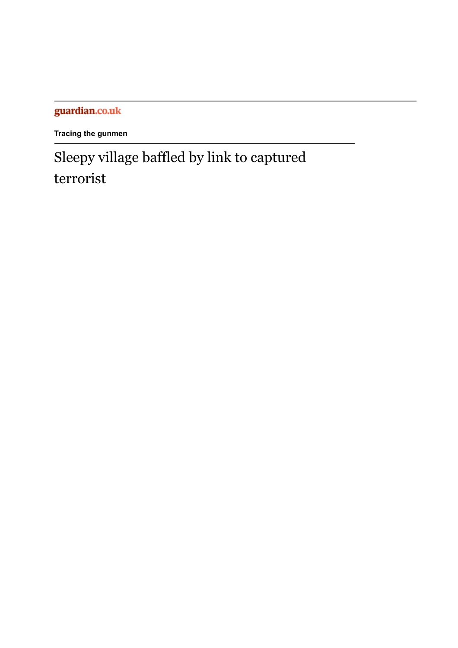## guardian.co.uk

**Tracing the gunmen**

Sleepy village baffled by link to captured terrorist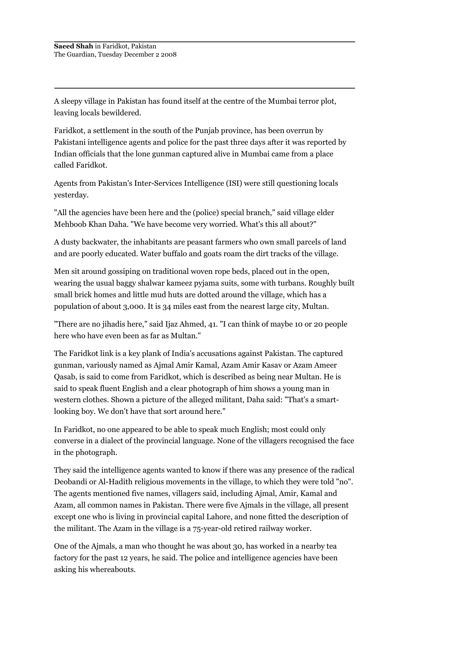A sleepy village in Pakistan has found itself at the centre of the Mumbai terror plot, leaving locals bewildered.

Faridkot, a settlement in the south of the Punjab province, has been overrun by Pakistani intelligence agents and police for the past three days after it was reported by Indian officials that the lone gunman captured alive in Mumbai came from a place called Faridkot.

Agents from Pakistan's Inter-Services Intelligence (ISI) were still questioning locals yesterday.

"All the agencies have been here and the (police) special branch," said village elder Mehboob Khan Daha. "We have become very worried. What's this all about?"

A dusty backwater, the inhabitants are peasant farmers who own small parcels of land and are poorly educated. Water buffalo and goats roam the dirt tracks of the village.

Men sit around gossiping on traditional woven rope beds, placed out in the open, wearing the usual baggy shalwar kameez pyjama suits, some with turbans. Roughly built small brick homes and little mud huts are dotted around the village, which has a population of about 3,000. It is 34 miles east from the nearest large city, Multan.

"There are no jihadis here," said Ijaz Ahmed, 41. "I can think of maybe 10 or 20 people here who have even been as far as Multan."

The Faridkot link is a key plank of India's accusations against Pakistan. The captured gunman, variously named as Ajmal Amir Kamal, Azam Amir Kasav or Azam Ameer Qasab, is said to come from Faridkot, which is described as being near Multan. He is said to speak fluent English and a clear photograph of him shows a young man in western clothes. Shown a picture of the alleged militant, Daha said: "That's a smartlooking boy. We don't have that sort around here."

In Faridkot, no one appeared to be able to speak much English; most could only converse in a dialect of the provincial language. None of the villagers recognised the face in the photograph.

They said the intelligence agents wanted to know if there was any presence of the radical Deobandi or Al-Hadith religious movements in the village, to which they were told "no". The agents mentioned five names, villagers said, including Ajmal, Amir, Kamal and Azam, all common names in Pakistan. There were five Ajmals in the village, all present except one who is living in provincial capital Lahore, and none fitted the description of the militant. The Azam in the village is a 75-year-old retired railway worker.

One of the Ajmals, a man who thought he was about 30, has worked in a nearby tea factory for the past 12 years, he said. The police and intelligence agencies have been asking his whereabouts.